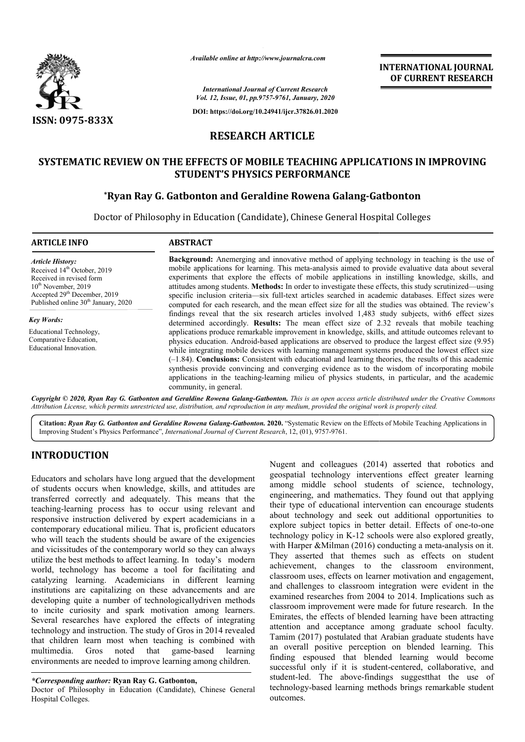

*Available online at http://www.journalcra.com*

**INTERNATIONAL JOURNAL OF CURRENT RESEARCH**

*International Journal of Current Research Vol. 12, Issue, 01, pp.9757-9761, January, 2020*

**DOI: https://doi.org/10.24941/ijcr.37826.01.2020**

### **RESEARCH ARTICLE**

### **SYSTEMATIC REVIEW ON THE EFFECTS OF MOBILE TEACHING APPLICATIONS IN IMPROVING STUDENT'S PHYSICS PERFORMANCE**

### **\*Ryan Ray G. Gatbonton and Geraldine Rowena Galang Ryan Galang-Gatbonton Gatbonton**

Doctor of Philosophy in Education (Candidate), Chinese General Hospital Colleges

| <b>ARTICLE INFO</b>                                                                                                                                                                                                       | <b>ABSTRACT</b>                                                                                                                                                                                                                                                                                                                                                                                                                                                                                                                                                                                                                                                                                                                                                                                                                                                 |  |  |
|---------------------------------------------------------------------------------------------------------------------------------------------------------------------------------------------------------------------------|-----------------------------------------------------------------------------------------------------------------------------------------------------------------------------------------------------------------------------------------------------------------------------------------------------------------------------------------------------------------------------------------------------------------------------------------------------------------------------------------------------------------------------------------------------------------------------------------------------------------------------------------------------------------------------------------------------------------------------------------------------------------------------------------------------------------------------------------------------------------|--|--|
| <b>Article History:</b><br>Received 14 <sup>th</sup> October, 2019<br>Received in revised form<br>$10^{th}$ November, 2019<br>Accepted 29 <sup>th</sup> December, 2019<br>Published online 30 <sup>th</sup> January, 2020 | <b>Background:</b> Anemerging and innovative method of applying technology in teaching is the use of<br>mobile applications for learning. This meta-analysis aimed to provide evaluative data about several<br>experiments that explore the effects of mobile applications in instilling knowledge, skills, and<br>attitudes among students. <b>Methods:</b> In order to investigate these effects, this study scrutinized—using<br>specific inclusion criteria—six full-text articles searched in academic databases. Effect sizes were<br>computed for each research, and the mean effect size for all the studies was obtained. The review's                                                                                                                                                                                                                 |  |  |
| <b>Key Words:</b><br>Educational Technology,<br>Comparative Education,<br>Educational Innovation.                                                                                                                         | findings reveal that the six research articles involved 1,483 study subjects, with 6 effect sizes<br>determined accordingly. Results: The mean effect size of 2.32 reveals that mobile teaching<br>applications produce remarkable improvement in knowledge, skills, and attitude outcomes relevant to<br>physics education. Android-based applications are observed to produce the largest effect size (9.95)<br>while integrating mobile devices with learning management systems produced the lowest effect size<br>$(-1.84)$ . Conclusions: Consistent with educational and learning theories, the results of this academic<br>synthesis provide convincing and converging evidence as to the wisdom of incorporating mobile<br>applications in the teaching-learning milieu of physics students, in particular, and the academic<br>community, in general. |  |  |

Copyright © 2020, Ryan Ray G. Gatbonton and Geraldine Rowena Galang-Gatbonton. This is an open access article distributed under the Creative Commons Attribution License, which permits unrestricted use, distribution, and reproduction in any medium, provided the original work is properly cited.

Citation: Ryan Ray G. Gatbonton and Geraldine Rowena Galang-Gatbonton. 2020. "Systematic Review on the Effects of Mobile Teaching Applications in Improving Student's Physics Performance", *International Journal of Current Research*, 12, (01), 9757-9761.

# **INTRODUCTION**

Educators and scholars have long argued that the development of students occurs when knowledge, skills, and attitudes are transferred correctly and adequately. This means that the teaching-learning process has to occur using relevant and teaching-learning process has to occur using relevant and<br>responsive instruction delivered by expert academicians in a contemporary educational milieu. That is, proficient educators who will teach the students should be aware of the exigencies and vicissitudes of the contemporary world so they can always utilize the best methods to affect learning. In today's mo modern world, technology has become a tool for facilitating and catalyzing learning. Academicians in different learning institutions are capitalizing on these advancements and are developing quite a number of technologicallydriven methods to incite curiosity and spark motivation among learners. Several researches have explored the effects of integrating technology and instruction. The study of Gros in 2014 revealed that children learn most when teaching is combined with multimedia. Gros noted that game-based learning multimedia. Gros environments are needed to improve learning among children. game-based learning

Doctor of Philosophy in Education (Candidate), Chinese General Hospital Colleges.

Nugent and colleagues (2014) asserted that robotics and geospatial technology interventions effect greater learning among middle school students of science, technology, engineering, and mathematics. They found out that applying their type of educational intervention can encourage students about technology and seek out additional opportunities to among middle school students of science, technology, engineering, and mathematics. They found out that applying their type of educational intervention can encourage students about technology and seek out additional opportu technology policy in K-12 schools were also explored greatly, technology policy in K-12 schools were also explored greatly, with Harper &Milman (2016) conducting a meta-analysis on it. They asserted that themes such as effects on student achievement, changes to the classroom environment, classroom uses, effects on learner motivation and engagement, and challenges to classroom integration were evident in the examined researches from 2004 to 2014. Implications such as classroom improvement were made for future research. Emirates, the effects of blended learning have been attracting attention and acceptance among graduate school faculty. Tamim (2017) postulated that Arabian graduate students have an overall positive perception on blended learning. This finding espoused that blended learning would become Emirates, the effects of blended learning have been attracting<br>attention and acceptance among graduate school faculty.<br>Tamim (2017) postulated that Arabian graduate students have<br>an overall positive perception on blended l student-led. The above-findings suggestthat the use of student-led. The above-findings suggest that the use of technology-based learning methods brings remarkable student outcomes. achievement, changes to the classroom environment, classroom uses, effects on learner motivation and engagement, and challenges to classroom integration were evident in the examined researches from 2004 to 2014. Implicatio

*<sup>\*</sup>Corresponding author:* **Ryan Ray G. Gatbonton Gatbonton,**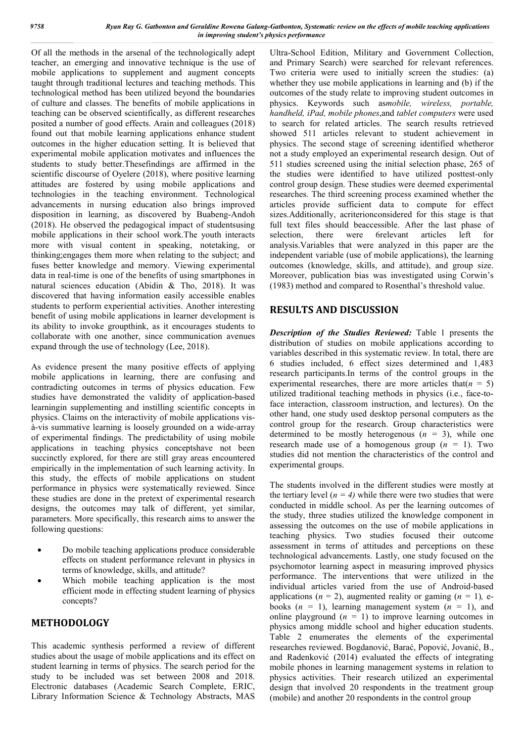Of all the methods in the arsenal of the technologically adept teacher, an emerging and innovative technique is the use of mobile applications to supplement and augment concepts taught through traditional lectures and teaching methods. This technological method has been utilized beyond the boundaries of culture and classes. The benefits of mobile applications in teaching can be observed scientifically, as different researches posited a number of good effects. Arain and colleagues (2018) found out that mobile learning applications enhance student outcomes in the higher education setting. It is believed that experimental mobile application motivates and influences the students to study better.Thesefindings are affirmed in the scientific discourse of Oyelere (2018), where positive learning attitudes are fostered by using mobile applications and technologies in the teaching environment. Technological advancements in nursing education also brings improved disposition in learning, as discovered by Buabeng-Andoh (2018). He observed the pedagogical impact of studentsusing mobile applications in their school work.The youth interacts more with visual content in speaking, notetaking, or thinking;engages them more when relating to the subject; and fuses better knowledge and memory. Viewing experimental data in real-time is one of the benefits of using smartphones in natural sciences education (Abidin & Tho, 2018). It was discovered that having information easily accessible enables students to perform experiential activities. Another interesting benefit of using mobile applications in learner development is its ability to invoke groupthink, as it encourages students to collaborate with one another, since communication avenues expand through the use of technology (Lee, 2018).

As evidence present the many positive effects of applying mobile applications in learning, there are confusing and contradicting outcomes in terms of physics education. Few studies have demonstrated the validity of application-based learningin supplementing and instilling scientific concepts in physics. Claims on the interactivity of mobile applications visà-vis summative learning is loosely grounded on a wide-array of experimental findings. The predictability of using mobile applications in teaching physics conceptshave not been succinctly explored, for there are still gray areas encountered empirically in the implementation of such learning activity. In this study, the effects of mobile applications on student performance in physics were systematically reviewed. Since these studies are done in the pretext of experimental research designs, the outcomes may talk of different, yet similar, parameters. More specifically, this research aims to answer the following questions:

- Do mobile teaching applications produce considerable effects on student performance relevant in physics in terms of knowledge, skills, and attitude?
- Which mobile teaching application is the most efficient mode in effecting student learning of physics concepts?

### **METHODOLOGY**

This academic synthesis performed a review of different studies about the usage of mobile applications and its effect on student learning in terms of physics. The search period for the study to be included was set between 2008 and 2018. Electronic databases (Academic Search Complete, ERIC, Library Information Science & Technology Abstracts, MAS

Ultra-School Edition, Military and Government Collection, and Primary Search) were searched for relevant references. Two criteria were used to initially screen the studies: (a) whether they use mobile applications in learning and (b) if the outcomes of the study relate to improving student outcomes in physics. Keywords such as*mobile, wireless, portable, handheld, iPad, mobile phones*,and *tablet computers* were used to search for related articles. The search results retrieved showed 511 articles relevant to student achievement in physics. The second stage of screening identified whetheror not a study employed an experimental research design. Out of 511 studies screened using the initial selection phase, 265 of the studies were identified to have utilized posttest-only control group design. These studies were deemed experimental researches. The third screening process examined whether the articles provide sufficient data to compute for effect sizes.Additionally, acriterionconsidered for this stage is that full text files should beaccessible. After the last phase of selection, there were 6relevant articles left for analysis.Variables that were analyzed in this paper are the independent variable (use of mobile applications), the learning outcomes (knowledge, skills, and attitude), and group size. Moreover, publication bias was investigated using Corwin's (1983) method and compared to Rosenthal's threshold value.

## **RESULTS AND DISCUSSION**

*Description of the Studies Reviewed:* Table 1 presents the distribution of studies on mobile applications according to variables described in this systematic review. In total, there are 6 studies included, 6 effect sizes determined and 1,483 research participants.In terms of the control groups in the experimental researches, there are more articles that  $(n = 5)$ utilized traditional teaching methods in physics (i.e., face-toface interaction, classroom instruction, and lectures). On the other hand, one study used desktop personal computers as the control group for the research. Group characteristics were determined to be mostly heterogenous  $(n = 3)$ , while one research made use of a homogenous group  $(n = 1)$ . Two studies did not mention the characteristics of the control and experimental groups.

The students involved in the different studies were mostly at the tertiary level  $(n = 4)$  while there were two studies that were conducted in middle school. As per the learning outcomes of the study, three studies utilized the knowledge component in assessing the outcomes on the use of mobile applications in teaching physics. Two studies focused their outcome assessment in terms of attitudes and perceptions on these technological advancements. Lastly, one study focused on the psychomotor learning aspect in measuring improved physics performance. The interventions that were utilized in the individual articles varied from the use of Android-based applications ( $n = 2$ ), augmented reality or gaming ( $n = 1$ ), ebooks  $(n = 1)$ , learning management system  $(n = 1)$ , and online playground  $(n = 1)$  to improve learning outcomes in physics among middle school and higher education students. Table 2 enumerates the elements of the experimental researches reviewed. Bogdanović, Barać, Popović, Jovanić, B., and Radenković (2014) evaluated the effects of integrating mobile phones in learning management systems in relation to physics activities. Their research utilized an experimental design that involved 20 respondents in the treatment group (mobile) and another 20 respondents in the control group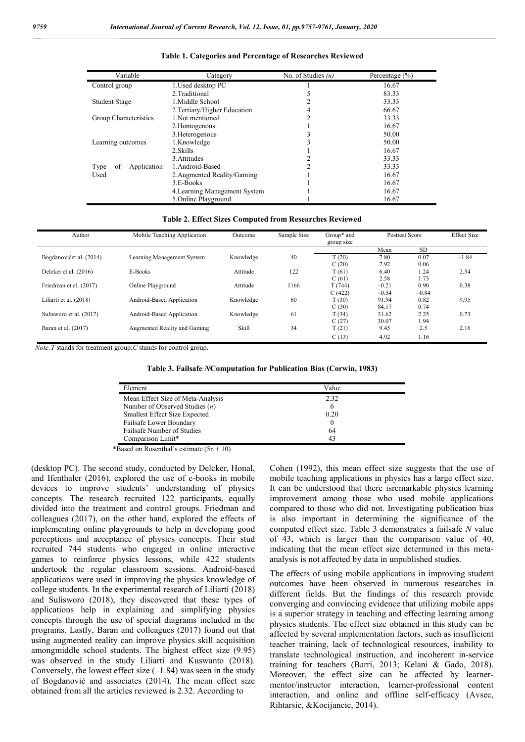| Variable                  | Category                      | No. of Studies $(n)$ | Percentage $(\% )$ |  |  |
|---------------------------|-------------------------------|----------------------|--------------------|--|--|
| Control group             | 1. Used desktop PC            |                      | 16.67              |  |  |
|                           | 2. Traditional                |                      | 83.33              |  |  |
| Student Stage             | 1. Middle School              |                      | 33.33              |  |  |
|                           | 2. Tertiary/Higher Education  |                      | 66.67              |  |  |
| Group Characteristics     | 1. Not mentioned              |                      | 33.33              |  |  |
|                           | 2. Homogenous                 |                      | 16.67              |  |  |
|                           | 3. Heterogenous               |                      | 50.00              |  |  |
| Learning outcomes         | 1.Knowledge                   |                      | 50.00              |  |  |
|                           | 2. Skills                     |                      | 16.67              |  |  |
|                           | 3. Attitudes                  |                      | 33.33              |  |  |
| Application<br>Type<br>οf | 1.Android-Based               |                      | 33.33              |  |  |
| Used                      | 2. Augmented Reality/Gaming   |                      | 16.67              |  |  |
|                           | 3.E-Books                     |                      | 16.67              |  |  |
|                           | 4. Learning Management System |                      | 16.67              |  |  |
|                           | 5.Online Playground           |                      | 16.67              |  |  |

#### **Table 1. Categories and Percentage of Researches Reviewed**

#### **Table 2***.* **Effect Sizes Computed from Researches Reviewed**

| Author                  | Mobile Teaching Application  | Outcome   | Sample Size | Group* and<br>group size | Posttest Score |           | <b>Effect Size</b> |
|-------------------------|------------------------------|-----------|-------------|--------------------------|----------------|-----------|--------------------|
|                         |                              |           |             |                          | Mean           | <b>SD</b> |                    |
| Bogdanovićet al. (2014) | Learning Management System   | Knowledge | 40          | T(20)                    | 7.80           | 0.07      | $-1.84$            |
|                         |                              |           |             | C(20)                    | 7.92           | 0.06      |                    |
| Delcker et al. (2016)   | E-Books                      | Attitude  | 122         | T(61)                    | 6.40           | 1.24      | 2.54               |
|                         |                              |           |             | C(61)                    | 2.58           | 1.73      |                    |
| Friedman et al. (2017)  | Online Playground            | Attitude  | 1166        | T(744)                   | $-0.21$        | 0.90      | 0.38               |
|                         |                              |           |             | C(422)                   | $-0.54$        | $-0.84$   |                    |
| Liliarti et al. (2018)  | Android-Based Application    | Knowledge | 60          | T(30)                    | 91.94          | 0.82      | 9.95               |
|                         |                              |           |             | C(30)                    | 84.17          | 0.74      |                    |
| Sulisworo et al. (2017) | Android-Based Application    | Knowledge | 61          | T(34)                    | 31.62          | 2.25      | 0.73               |
|                         |                              |           |             | C(27)                    | 30.07          | 1.94      |                    |
| Baran et al. (2017)     | Augmented Reality and Gaming | Skill     | 34          | T(21)                    | 9.45           | 2.5       | 2.16               |
|                         |                              |           |             | C(13)                    | 4.92           | 1.16      |                    |

*Note:T* stands for treatment group;*C* stands for control group.

**Table 3. Failsafe** *N***Computation for Publication Bias (Corwin, 1983)**

| Element                              | Value |  |
|--------------------------------------|-------|--|
| Mean Effect Size of Meta-Analysis    | 2.32  |  |
| Number of Observed Studies $(n)$     | b     |  |
| <b>Smallest Effect Size Expected</b> | 0.20  |  |
| Failsafe Lower Boundary              |       |  |
| Failsafe Number of Studies           | 64    |  |
| Comparison Limit*                    | 43    |  |

\*Based on Rosenthal's estimate  $(5n + 10)$ 

(desktop PC). The second study, conducted by Delcker, Honal, and Ifenthaler (2016), explored the use of e-books in mobile devices to improve students' understanding of physics concepts. The research recruited 122 participants, equally divided into the treatment and control groups. Friedman and colleagues (2017), on the other hand, explored the effects of implementing online playgrounds to help in developing good perceptions and acceptance of physics concepts. Their stud recruited 744 students who engaged in online interactive games to reinforce physics lessons, while 422 students undertook the regular classroom sessions. Android-based applications were used in improving the physics knowledge of college students. In the experimental research of Liliarti (2018) and Sulisworo (2018), they discovered that these types of applications help in explaining and simplifying physics concepts through the use of special diagrams included in the programs. Lastly, Baran and colleagues (2017) found out that using augmented reality can improve physics skill acquisition amongmiddle school students. The highest effect size (9.95) was observed in the study Liliarti and Kuswanto (2018). Conversely, the lowest effect size  $(-1.84)$  was seen in the study of Bogdanović and associates (2014). The mean effect size obtained from all the articles reviewed is 2.32. According to

Cohen (1992), this mean effect size suggests that the use of mobile teaching applications in physics has a large effect size. It can be understood that there isremarkable physics learning improvement among those who used mobile applications compared to those who did not. Investigating publication bias is also important in determining the significance of the computed effect size. Table 3 demonstrates a failsafe *N* value of 43, which is larger than the comparison value of 40, indicating that the mean effect size determined in this metaanalysis is not affected by data in unpublished studies.

The effects of using mobile applications in improving student outcomes have been observed in numerous researches in different fields. But the findings of this research provide converging and convincing evidence that utilizing mobile apps is a superior strategy in teaching and effecting learning among physics students. The effect size obtained in this study can be affected by several implementation factors, such as insufficient teacher training, lack of technological resources, inability to translate technological instruction, and incoherent in-service training for teachers (Barri, 2013; Kelani & Gado, 2018). Moreover, the effect size can be affected by learnermentor/instructor interaction, learner-professional content interaction, and online and offline self-efficacy (Avsec, Rihtarsic, &Kocijancic, 2014).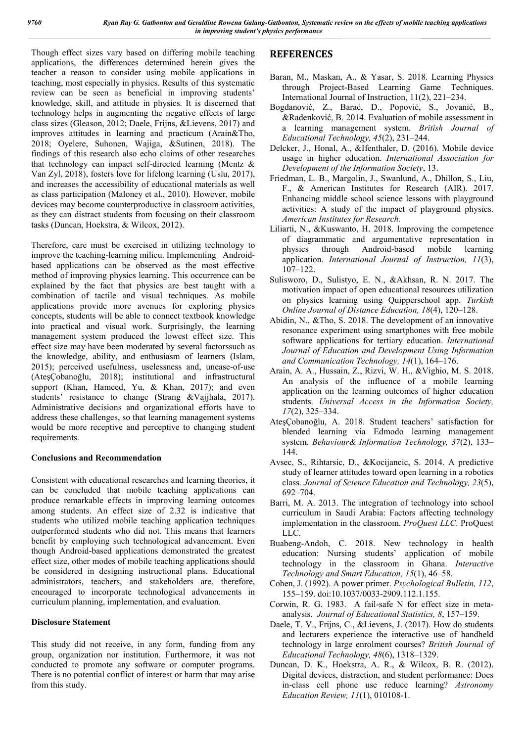Though effect sizes vary based on differing mobile teaching applications, the differences determined herein gives the teacher a reason to consider using mobile applications in teaching, most especially in physics. Results of this systematic review can be seen as beneficial in improving students' knowledge, skill, and attitude in physics. It is discerned that technology helps in augmenting the negative effects of large class sizes (Gleason, 2012; Daele, Frijns, &Lievens, 2017) and improves attitudes in learning and practicum (Arain&Tho, 2018; Oyelere, Suhonen, Wajiga, &Sutinen, 2018). The findings of this research also echo claims of other researches that technology can impact self-directed learning (Mentz & Van Zyl, 2018), fosters love for lifelong learning (Uslu, 2017), and increases the accessibility of educational materials as well as class participation (Maloney et al., 2010). However, mobile devices may become counterproductive in classroom activities, as they can distract students from focusing on their classroom tasks (Duncan, Hoekstra, & Wilcox, 2012).

Therefore, care must be exercised in utilizing technology to improve the teaching-learning milieu. Implementing Androidbased applications can be observed as the most effective method of improving physics learning. This occurrence can be explained by the fact that physics are best taught with a combination of tactile and visual techniques. As mobile applications provide more avenues for exploring physics concepts, students will be able to connect textbook knowledge into practical and visual work. Surprisingly, the learning management system produced the lowest effect size. This effect size may have been moderated by several factorssuch as the knowledge, ability, and enthusiasm of learners (Islam, 2015); perceived usefulness, uselessness and, unease-of-use (AteşÇobanoğlu, 2018); institutional and infrastructural support (Khan, Hameed, Yu, & Khan, 2017); and even students' resistance to change (Strang &Vajjhala, 2017). Administrative decisions and organizational efforts have to address these challenges, so that learning management systems would be more receptive and perceptive to changing student requirements.

### **Conclusions and Recommendation**

Consistent with educational researches and learning theories, it can be concluded that mobile teaching applications can produce remarkable effects in improving learning outcomes among students. An effect size of 2.32 is indicative that students who utilized mobile teaching application techniques outperformed students who did not. This means that learners benefit by employing such technological advancement. Even though Android-based applications demonstrated the greatest effect size, other modes of mobile teaching applications should be considered in designing instructional plans. Educational administrators, teachers, and stakeholders are, therefore, encouraged to incorporate technological advancements in curriculum planning, implementation, and evaluation.

### **Disclosure Statement**

This study did not receive, in any form, funding from any group, organization nor institution. Furthermore, it was not conducted to promote any software or computer programs. There is no potential conflict of interest or harm that may arise from this study.

# **REFERENCES**

- Baran, M., Maskan, A., & Yasar, S. 2018. Learning Physics through Project-Based Learning Game Techniques. International Journal of Instruction, 11(2), 221–234.
- Bogdanović, Z., Barać, D., Popović, S., Jovanić, B., &Radenković, B. 2014. Evaluation of mobile assessment in a learning management system. *British Journal of Educational Technology, 45*(2), 231–244.
- Delcker, J., Honal, A., &Ifenthaler, D. (2016). Mobile device usage in higher education. *International Association for Development of the Information Society*, 13.
- Friedman, L. B., Margolin, J., Swanlund, A., Dhillon, S., Liu, F., & American Institutes for Research (AIR). 2017. Enhancing middle school science lessons with playground activities: A study of the impact of playground physics. *American Institutes for Research.*
- Liliarti, N., &Kuswanto, H. 2018. Improving the competence of diagrammatic and argumentative representation in physics through Android-based mobile learning application. *International Journal of Instruction, 11*(3), 107–122.
- Sulisworo, D., Sulistyo, E. N., &Akhsan, R. N. 2017. The motivation impact of open educational resources utilization on physics learning using Quipperschool app. *Turkish Online Journal of Distance Education, 18*(4), 120–128.
- Abidin, N., &Tho, S. 2018. The development of an innovative resonance experiment using smartphones with free mobile software applications for tertiary education. *International Journal of Education and Development Using Information and Communication Technology, 14*(1), 164–176.
- Arain, A. A., Hussain, Z., Rizvi, W. H., &Vighio, M. S. 2018. An analysis of the influence of a mobile learning application on the learning outcomes of higher education students. *Universal Access in the Information Society, 17*(2), 325–334.
- AteşÇobanoğlu, A. 2018. Student teachers' satisfaction for blended learning via Edmodo learning management system. *Behaviour& Information Technology, 37*(2), 133– 144.
- Avsec, S., Rihtarsic, D., &Kocijancic, S. 2014. A predictive study of learner attitudes toward open learning in a robotics class. *Journal of Science Education and Technology, 23*(5), 692–704.
- Barri, M. A. 2013. The integration of technology into school curriculum in Saudi Arabia: Factors affecting technology implementation in the classroom. *ProQuest LLC*. ProQuest LLC.
- Buabeng-Andoh, C. 2018. New technology in health education: Nursing students' application of mobile technology in the classroom in Ghana. *Interactive Technology and Smart Education, 15*(1), 46–58.
- Cohen, J. (1992). A power primer. *Psychological Bulletin, 112*, 155–159. doi:10.1037/0033-2909.112.1.155.
- Corwin, R. G. 1983. A fail-safe N for effect size in metaanalysis. *Journal of Educational Statistics, 8*, 157–159.
- Daele, T. V., Frijns, C., &Lievens, J. (2017). How do students and lecturers experience the interactive use of handheld technology in large enrolment courses? *British Journal of Educational Technology, 48*(6), 1318–1329.
- Duncan, D. K., Hoekstra, A. R., & Wilcox, B. R. (2012). Digital devices, distraction, and student performance: Does in-class cell phone use reduce learning? *Astronomy Education Review, 11*(1), 010108-1.